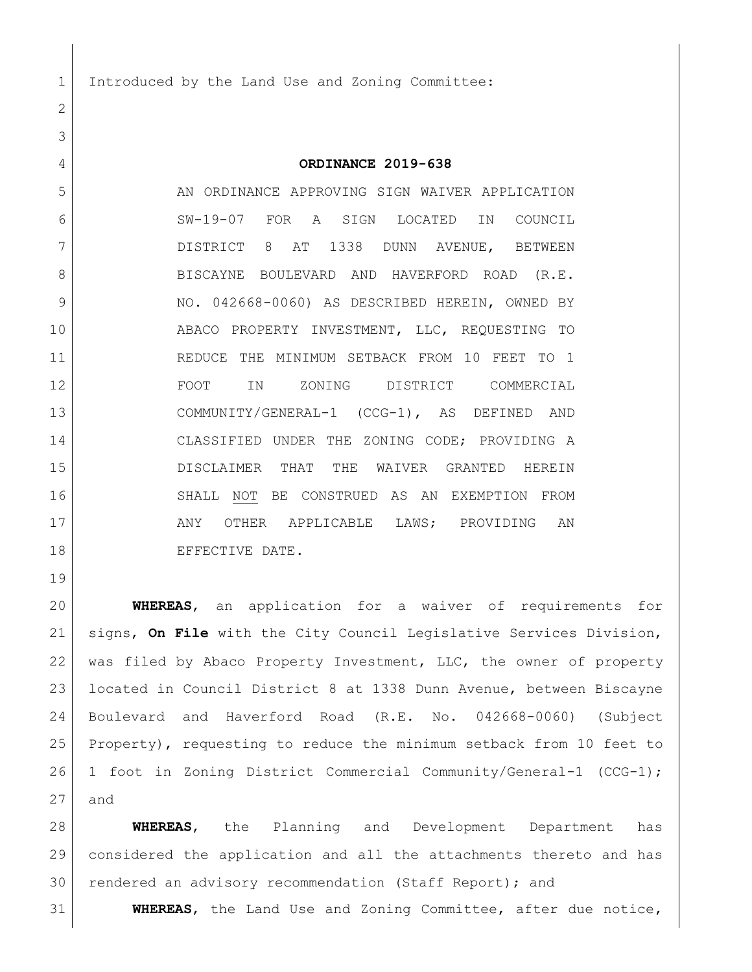1 Introduced by the Land Use and Zoning Committee:

 **ORDINANCE 2019-638** AN ORDINANCE APPROVING SIGN WAIVER APPLICATION SW-19-07 FOR A SIGN LOCATED IN COUNCIL DISTRICT 8 AT 1338 DUNN AVENUE, BETWEEN 8 BISCAYNE BOULEVARD AND HAVERFORD ROAD (R.E. 9 NO. 042668-0060) AS DESCRIBED HEREIN, OWNED BY ABACO PROPERTY INVESTMENT, LLC, REQUESTING TO REDUCE THE MINIMUM SETBACK FROM 10 FEET TO 1 FOOT IN ZONING DISTRICT COMMERCIAL COMMUNITY/GENERAL-1 (CCG-1), AS DEFINED AND CLASSIFIED UNDER THE ZONING CODE; PROVIDING A DISCLAIMER THAT THE WAIVER GRANTED HEREIN SHALL NOT BE CONSTRUED AS AN EXEMPTION FROM 17 ANY OTHER APPLICABLE LAWS; PROVIDING AN 18 EFFECTIVE DATE.

 **WHEREAS**, an application for a waiver of requirements for signs, **On File** with the City Council Legislative Services Division, was filed by Abaco Property Investment, LLC, the owner of property located in Council District 8 at 1338 Dunn Avenue, between Biscayne Boulevard and Haverford Road (R.E. No. 042668-0060) (Subject Property), requesting to reduce the minimum setback from 10 feet to 1 foot in Zoning District Commercial Community/General-1 (CCG-1); and

 **WHEREAS**, the Planning and Development Department has considered the application and all the attachments thereto and has rendered an advisory recommendation (Staff Report); and

**WHEREAS**, the Land Use and Zoning Committee, after due notice,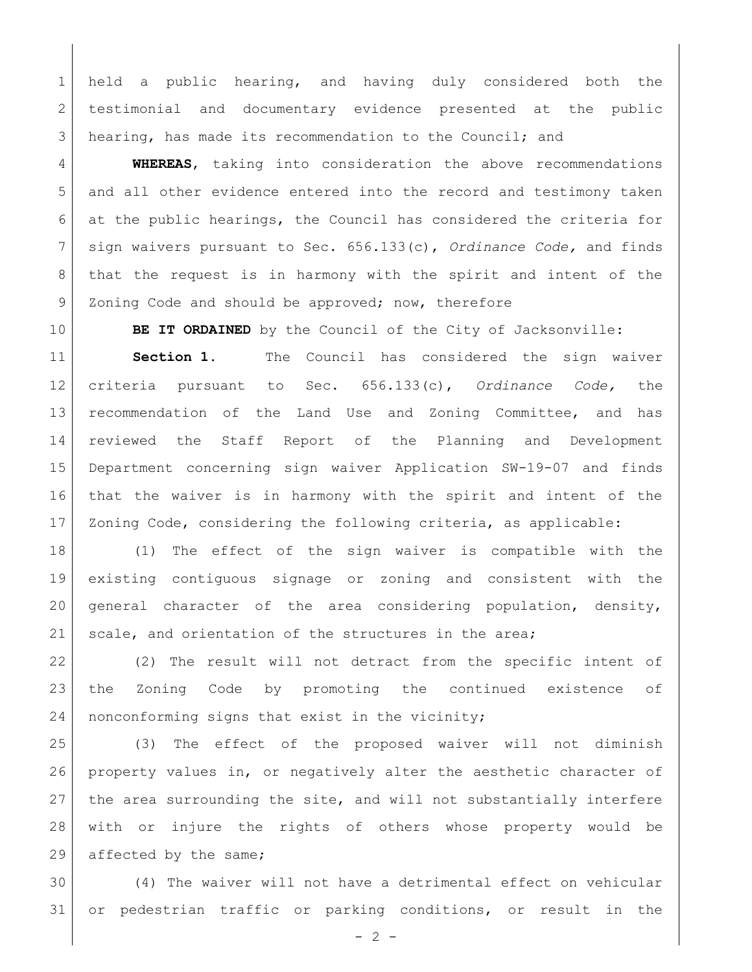held a public hearing, and having duly considered both the 2 testimonial and documentary evidence presented at the public hearing, has made its recommendation to the Council; and

 **WHEREAS**, taking into consideration the above recommendations and all other evidence entered into the record and testimony taken at the public hearings, the Council has considered the criteria for sign waivers pursuant to Sec. 656.133(c), *Ordinance Code,* and finds that the request is in harmony with the spirit and intent of the 9 Zoning Code and should be approved; now, therefore

**BE IT ORDAINED** by the Council of the City of Jacksonville:

 **Section 1.** The Council has considered the sign waiver criteria pursuant to Sec. 656.133(c), *Ordinance Code,* the recommendation of the Land Use and Zoning Committee, and has reviewed the Staff Report of the Planning and Development Department concerning sign waiver Application SW-19-07 and finds that the waiver is in harmony with the spirit and intent of the Zoning Code, considering the following criteria, as applicable:

 (1) The effect of the sign waiver is compatible with the existing contiguous signage or zoning and consistent with the general character of the area considering population, density, 21 scale, and orientation of the structures in the area;

22 (2) The result will not detract from the specific intent of the Zoning Code by promoting the continued existence of 24 | nonconforming signs that exist in the vicinity;

 (3) The effect of the proposed waiver will not diminish property values in, or negatively alter the aesthetic character of the area surrounding the site, and will not substantially interfere with or injure the rights of others whose property would be 29 affected by the same;

 (4) The waiver will not have a detrimental effect on vehicular or pedestrian traffic or parking conditions, or result in the

 $-2 -$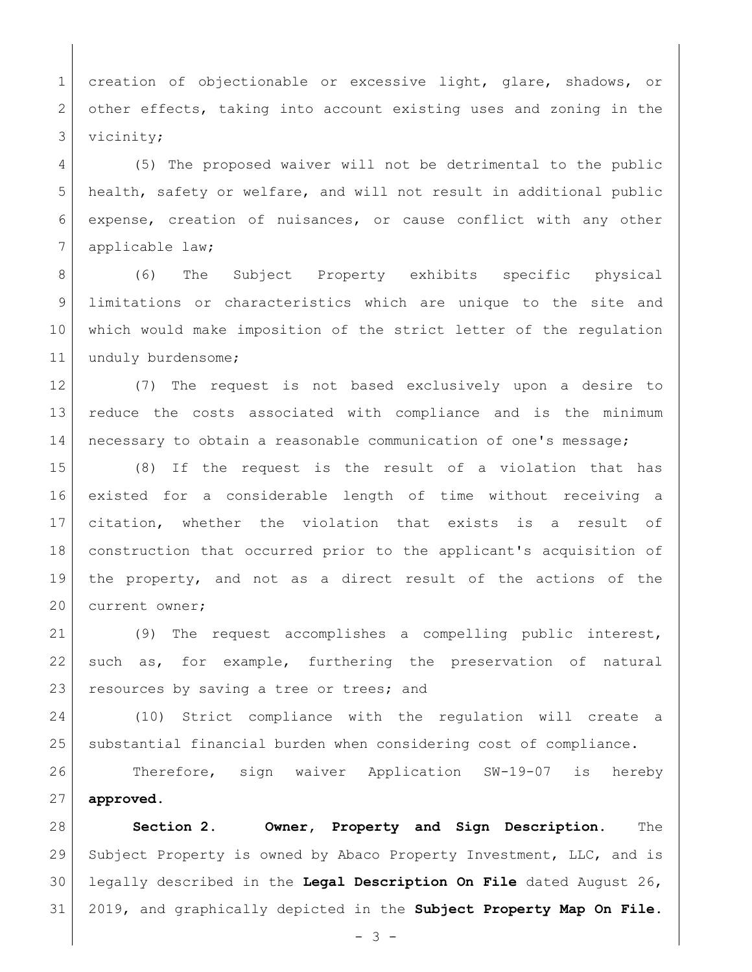1 creation of objectionable or excessive light, glare, shadows, or 2 other effects, taking into account existing uses and zoning in the 3 vicinity;

 (5) The proposed waiver will not be detrimental to the public health, safety or welfare, and will not result in additional public expense, creation of nuisances, or cause conflict with any other 7 applicable law;

 (6) The Subject Property exhibits specific physical limitations or characteristics which are unique to the site and which would make imposition of the strict letter of the regulation 11 unduly burdensome;

 (7) The request is not based exclusively upon a desire to reduce the costs associated with compliance and is the minimum 14 necessary to obtain a reasonable communication of one's message;

 (8) If the request is the result of a violation that has existed for a considerable length of time without receiving a citation, whether the violation that exists is a result of construction that occurred prior to the applicant's acquisition of the property, and not as a direct result of the actions of the 20 current owner;

 (9) The request accomplishes a compelling public interest, such as, for example, furthering the preservation of natural 23 resources by saving a tree or trees; and

 (10) Strict compliance with the regulation will create a substantial financial burden when considering cost of compliance.

 Therefore, sign waiver Application SW-19-07 is hereby **approved**.

 **Section 2. Owner, Property and Sign Description.** The Subject Property is owned by Abaco Property Investment, LLC, and is legally described in the **Legal Description On File** dated August 26, 2019, and graphically depicted in the **Subject Property Map On File**.

 $- 3 -$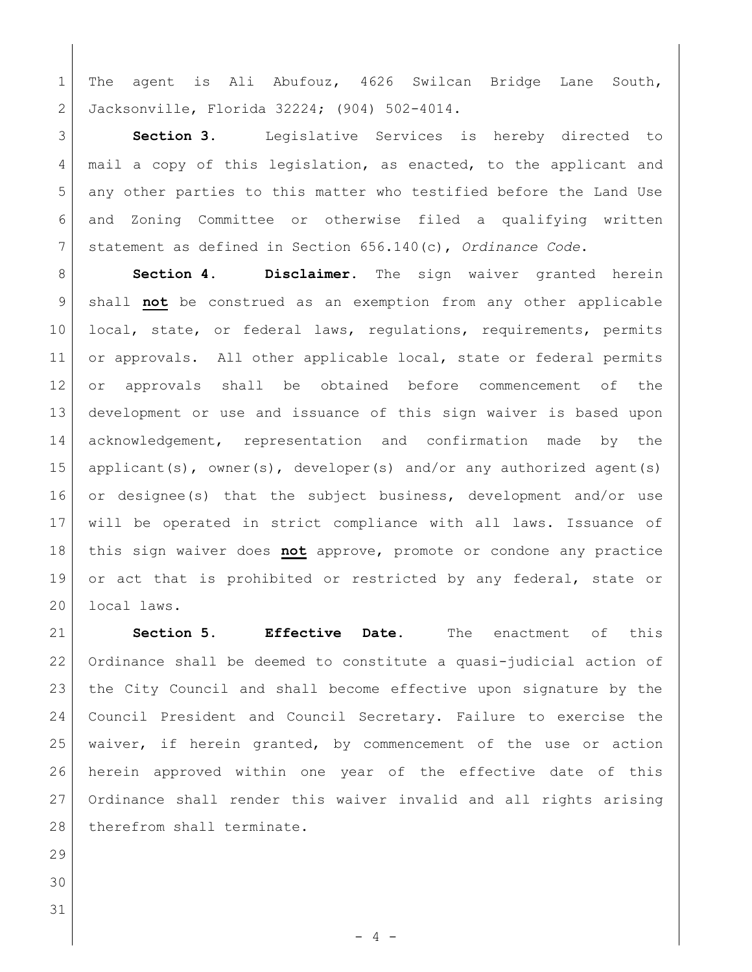The agent is Ali Abufouz, 4626 Swilcan Bridge Lane South, Jacksonville, Florida 32224; (904) 502-4014.

 **Section 3.** Legislative Services is hereby directed to 4 mail a copy of this legislation, as enacted, to the applicant and 5 any other parties to this matter who testified before the Land Use and Zoning Committee or otherwise filed a qualifying written statement as defined in Section 656.140(c), *Ordinance Code*.

 **Section 4. Disclaimer.** The sign waiver granted herein shall **not** be construed as an exemption from any other applicable 10 local, state, or federal laws, regulations, requirements, permits 11 or approvals. All other applicable local, state or federal permits or approvals shall be obtained before commencement of the development or use and issuance of this sign waiver is based upon acknowledgement, representation and confirmation made by the 15 applicant(s), owner(s), developer(s) and/or any authorized agent(s) or designee(s) that the subject business, development and/or use will be operated in strict compliance with all laws. Issuance of this sign waiver does **not** approve, promote or condone any practice 19 or act that is prohibited or restricted by any federal, state or 20 local laws.

 **Section 5. Effective Date.** The enactment of this Ordinance shall be deemed to constitute a quasi-judicial action of the City Council and shall become effective upon signature by the Council President and Council Secretary. Failure to exercise the 25 | waiver, if herein granted, by commencement of the use or action herein approved within one year of the effective date of this Ordinance shall render this waiver invalid and all rights arising 28 therefrom shall terminate.

- 
-